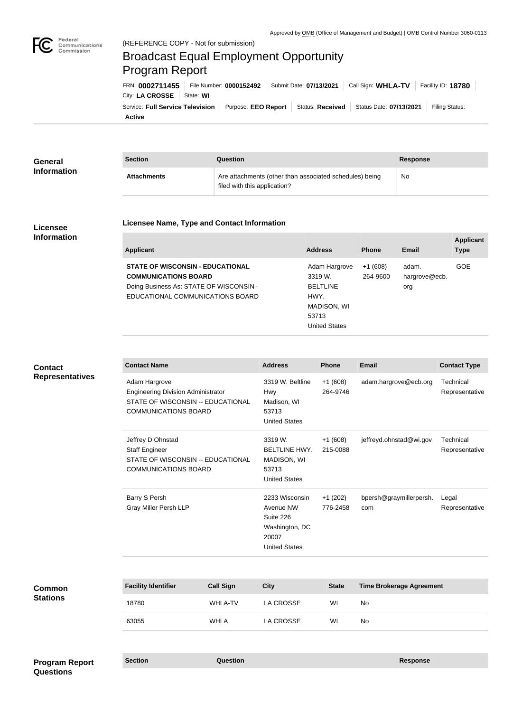

# Broadcast Equal Employment Opportunity Program Report

**Active** Service: Full Service Television | Purpose: EEO Report | Status: Received | Status Date: 07/13/2021 | Filing Status: City: **LA CROSSE** | State: WI FRN: **0002711455** File Number: **0000152492** Submit Date: **07/13/2021** Call Sign: **WHLA-TV** Facility ID: **18780**

| General            | <b>Section</b>     | Question                                                                                | Response |
|--------------------|--------------------|-----------------------------------------------------------------------------------------|----------|
| <b>Information</b> | <b>Attachments</b> | Are attachments (other than associated schedules) being<br>filed with this application? | No       |

### **Licensee Information**

#### **Licensee Name, Type and Contact Information**

| <b>Applicant</b>                                                                                                                                      | <b>Address</b>                                                                                      | <b>Phone</b>          | Email                         | <b>Applicant</b><br><b>Type</b> |
|-------------------------------------------------------------------------------------------------------------------------------------------------------|-----------------------------------------------------------------------------------------------------|-----------------------|-------------------------------|---------------------------------|
| <b>STATE OF WISCONSIN - EDUCATIONAL</b><br><b>COMMUNICATIONS BOARD</b><br>Doing Business As: STATE OF WISCONSIN -<br>EDUCATIONAL COMMUNICATIONS BOARD | Adam Hargrove<br>3319 W.<br><b>BELTLINE</b><br>HWY.<br>MADISON, WI<br>53713<br><b>United States</b> | $+1(608)$<br>264-9600 | adam.<br>hargrove@ecb.<br>org | <b>GOE</b>                      |
|                                                                                                                                                       |                                                                                                     |                       |                               |                                 |

# **Contact Representatives**

| <b>Contact Name</b>                                                                                                            | <b>Address</b>                                                                              | <b>Phone</b>          | <b>Email</b>                   | <b>Contact Type</b>         |
|--------------------------------------------------------------------------------------------------------------------------------|---------------------------------------------------------------------------------------------|-----------------------|--------------------------------|-----------------------------|
| Adam Hargrove<br><b>Engineering Division Administrator</b><br>STATE OF WISCONSIN -- EDUCATIONAL<br><b>COMMUNICATIONS BOARD</b> | 3319 W. Beltline<br><b>Hwy</b><br>Madison, WI<br>53713<br><b>United States</b>              | $+1(608)$<br>264-9746 | adam.hargrove@ecb.org          | Technical<br>Representative |
| Jeffrey D Ohnstad<br><b>Staff Engineer</b><br>STATE OF WISCONSIN -- EDUCATIONAL<br><b>COMMUNICATIONS BOARD</b>                 | 3319 W.<br><b>BELTLINE HWY.</b><br>MADISON, WI<br>53713<br><b>United States</b>             | $+1(608)$<br>215-0088 | jeffreyd.ohnstad@wi.gov        | Technical<br>Representative |
| Barry S Persh<br><b>Gray Miller Persh LLP</b>                                                                                  | 2233 Wisconsin<br>Avenue NW<br>Suite 226<br>Washington, DC<br>20007<br><b>United States</b> | $+1(202)$<br>776-2458 | bpersh@graymillerpersh.<br>com | Legal<br>Representative     |

| Common<br><b>Stations</b> | <b>Facility Identifier</b> | <b>Call Sign</b> | <b>City</b> | <b>State</b> | <b>Time Brokerage Agreement</b> |
|---------------------------|----------------------------|------------------|-------------|--------------|---------------------------------|
|                           | 18780                      | <b>WHLA-TV</b>   | LA CROSSE   | WI           | No                              |
|                           | 63055                      | <b>WHLA</b>      | LA CROSSE   | WI           | No                              |